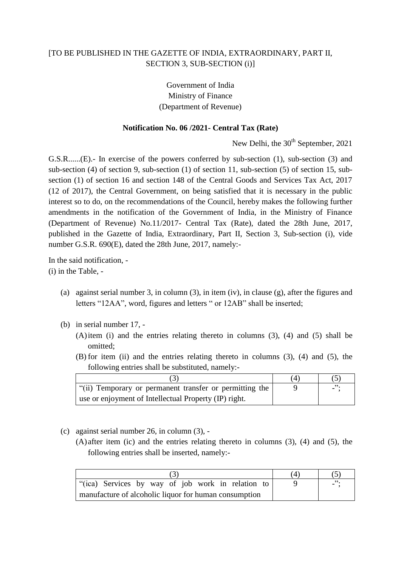## [TO BE PUBLISHED IN THE GAZETTE OF INDIA, EXTRAORDINARY, PART II, SECTION 3, SUB-SECTION (i)]

Government of India Ministry of Finance (Department of Revenue)

## **Notification No. 06 /2021- Central Tax (Rate)**

New Delhi, the  $30<sup>th</sup>$  September, 2021

G.S.R......(E).- In exercise of the powers conferred by sub-section (1), sub-section (3) and sub-section (4) of section 9, sub-section (1) of section 11, sub-section (5) of section 15, subsection (1) of section 16 and section 148 of the Central Goods and Services Tax Act, 2017 (12 of 2017), the Central Government, on being satisfied that it is necessary in the public interest so to do, on the recommendations of the Council, hereby makes the following further amendments in the notification of the Government of India, in the Ministry of Finance (Department of Revenue) No.11/2017- Central Tax (Rate), dated the 28th June, 2017, published in the Gazette of India, Extraordinary, Part II, Section 3, Sub-section (i), vide number G.S.R. 690(E), dated the 28th June, 2017, namely:-

In the said notification, - (i) in the Table, -

- (a) against serial number 3, in column (3), in item (iv), in clause (g), after the figures and letters "12AA", word, figures and letters " or 12AB" shall be inserted;
- (b) in serial number 17,
	- (A)item (i) and the entries relating thereto in columns (3), (4) and (5) shall be omitted;
	- (B) for item (ii) and the entries relating thereto in columns (3), (4) and (5), the following entries shall be substituted, namely:-

| "(ii) Temporary or permanent transfer or permitting the |  |
|---------------------------------------------------------|--|
| use or enjoyment of Intellectual Property (IP) right.   |  |

- (c) against serial number 26, in column (3),
	- (A) after item (ic) and the entries relating thereto in columns (3), (4) and (5), the following entries shall be inserted, namely:-

| "(ica) Services by way of job work in relation to     |  | $\overline{\phantom{a}}$ . |  |
|-------------------------------------------------------|--|----------------------------|--|
| manufacture of alcoholic liquor for human consumption |  |                            |  |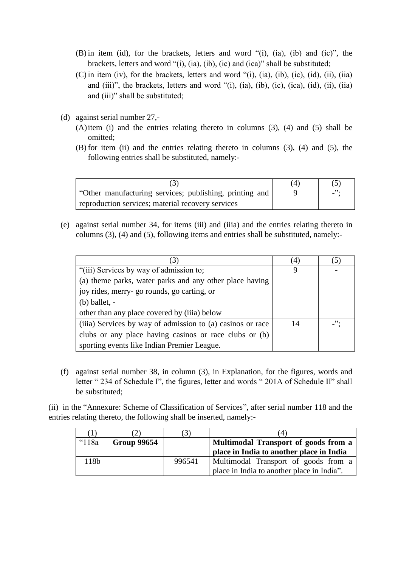- (B) in item (id), for the brackets, letters and word "(i), (ia), (ib) and (ic)", the brackets, letters and word "(i), (ia), (ib), (ic) and (ica)" shall be substituted;
- (C) in item (iv), for the brackets, letters and word "(i), (ia), (ib), (ic), (id), (ii), (iia) and (iii)", the brackets, letters and word "(i), (ia), (ib), (ic), (ica), (id), (ii), (iia) and (iii)" shall be substituted;
- (d) against serial number 27,-
	- (A)item (i) and the entries relating thereto in columns (3), (4) and (5) shall be omitted;
	- (B) for item (ii) and the entries relating thereto in columns (3), (4) and (5), the following entries shall be substituted, namely:-

| "Other manufacturing services; publishing, printing and |  |
|---------------------------------------------------------|--|
| reproduction services; material recovery services       |  |

(e) against serial number 34, for items (iii) and (iiia) and the entries relating thereto in columns (3), (4) and (5), following items and entries shall be substituted, namely:-

| 3                                                          | 4  | $\left(5\right)$ |
|------------------------------------------------------------|----|------------------|
| "(iii) Services by way of admission to;                    | 9  |                  |
| (a) theme parks, water parks and any other place having    |    |                  |
| joy rides, merry-go rounds, go carting, or                 |    |                  |
| $(b)$ ballet, $-$                                          |    |                  |
| other than any place covered by (iiia) below               |    |                  |
| (iiia) Services by way of admission to (a) casinos or race | 14 | $\cdot$          |
| clubs or any place having casinos or race clubs or (b)     |    |                  |
| sporting events like Indian Premier League.                |    |                  |

(f) against serial number 38, in column (3), in Explanation, for the figures, words and letter " 234 of Schedule I", the figures, letter and words " 201A of Schedule II" shall be substituted;

(ii) in the "Annexure: Scheme of Classification of Services", after serial number 118 and the entries relating thereto, the following shall be inserted, namely:-

| $\left(1\right)$ |                    |        | 4                                                                                  |
|------------------|--------------------|--------|------------------------------------------------------------------------------------|
| "118a            | <b>Group 99654</b> |        | Multimodal Transport of goods from a<br>place in India to another place in India   |
| 118b             |                    | 996541 | Multimodal Transport of goods from a<br>place in India to another place in India". |